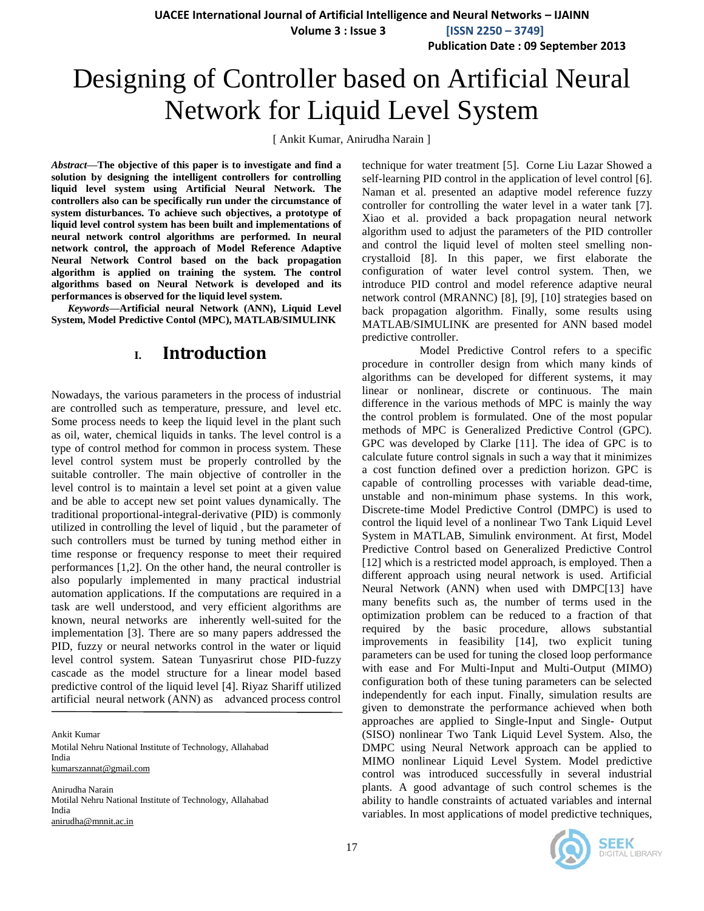**UACEE International Journal of Artificial Intelligence and Neural Networks – IJAINN**

**Volume 3 : Issue 3 [ISSN 2250 – 3749]**

**Publication Date : 09 September 2013**

# Designing of Controller based on Artificial Neural Network for Liquid Level System

[ Ankit Kumar, Anirudha Narain ]

*Abstract***—The objective of this paper is to investigate and find a solution by designing the intelligent controllers for controlling liquid level system using Artificial Neural Network. The controllers also can be specifically run under the circumstance of system disturbances. To achieve such objectives, a prototype of liquid level control system has been built and implementations of neural network control algorithms are performed. In neural network control, the approach of Model Reference Adaptive Neural Network Control based on the back propagation algorithm is applied on training the system. The control algorithms based on Neural Network is developed and its performances is observed for the liquid level system.**

*Keywords—***Artificial neural Network (ANN), Liquid Level System, Model Predictive Contol (MPC), MATLAB/SIMULINK**

# **I. Introduction**

Nowadays, the various parameters in the process of industrial are controlled such as temperature, pressure, and level etc. Some process needs to keep the liquid level in the plant such as oil, water, chemical liquids in tanks. The level control is a type of control method for common in process system. These level control system must be properly controlled by the suitable controller. The main objective of controller in the level control is to maintain a level set point at a given value and be able to accept new set point values dynamically. The traditional proportional-integral-derivative (PID) is commonly utilized in controlling the level of liquid , but the parameter of such controllers must be turned by tuning method either in time response or frequency response to meet their required performances [1,2]. On the other hand, the neural controller is also popularly implemented in many practical industrial automation applications. If the computations are required in a task are well understood, and very efficient algorithms are known, neural networks are inherently well-suited for the implementation [3]. There are so many papers addressed the PID, fuzzy or neural networks control in the water or liquid level control system. Satean Tunyasrirut chose PID-fuzzy cascade as the model structure for a linear model based predictive control of the liquid level [4]. Riyaz Shariff utilized artificial neural network (ANN) as advanced process control

Ankit Kumar Motilal Nehru National Institute of Technology, Allahabad India [kumarszannat@gmail.com](mailto:kumarszannat@gmail.com)

Anirudha Narain Motilal Nehru National Institute of Technology, Allahabad India [anirudha@mnnit.ac.in](mailto:anirudha@mnnit.ac.in)

technique for water treatment [5]. Corne Liu Lazar Showed a self-learning PID control in the application of level control [6]. Naman et al. presented an adaptive model reference fuzzy controller for controlling the water level in a water tank [7]. Xiao et al. provided a back propagation neural network algorithm used to adjust the parameters of the PID controller and control the liquid level of molten steel smelling noncrystalloid [8]. In this paper, we first elaborate the configuration of water level control system. Then, we introduce PID control and model reference adaptive neural network control (MRANNC) [8], [9], [10] strategies based on back propagation algorithm. Finally, some results using MATLAB/SIMULINK are presented for ANN based model predictive controller.

 Model Predictive Control refers to a specific procedure in controller design from which many kinds of algorithms can be developed for different systems, it may linear or nonlinear, discrete or continuous. The main difference in the various methods of MPC is mainly the way the control problem is formulated. One of the most popular methods of MPC is Generalized Predictive Control (GPC). GPC was developed by Clarke [11]. The idea of GPC is to calculate future control signals in such a way that it minimizes a cost function defined over a prediction horizon. GPC is capable of controlling processes with variable dead-time, unstable and non-minimum phase systems. In this work, Discrete-time Model Predictive Control (DMPC) is used to control the liquid level of a nonlinear Two Tank Liquid Level System in MATLAB, Simulink environment. At first, Model Predictive Control based on Generalized Predictive Control [12] which is a restricted model approach, is employed. Then a different approach using neural network is used. Artificial Neural Network (ANN) when used with DMPC[13] have many benefits such as, the number of terms used in the optimization problem can be reduced to a fraction of that required by the basic procedure, allows substantial improvements in feasibility [14], two explicit tuning parameters can be used for tuning the closed loop performance with ease and For Multi-Input and Multi-Output (MIMO) configuration both of these tuning parameters can be selected independently for each input. Finally, simulation results are given to demonstrate the performance achieved when both approaches are applied to Single-Input and Single- Output (SISO) nonlinear Two Tank Liquid Level System. Also, the DMPC using Neural Network approach can be applied to MIMO nonlinear Liquid Level System. Model predictive control was introduced successfully in several industrial plants. A good advantage of such control schemes is the ability to handle constraints of actuated variables and internal variables. In most applications of model predictive techniques,

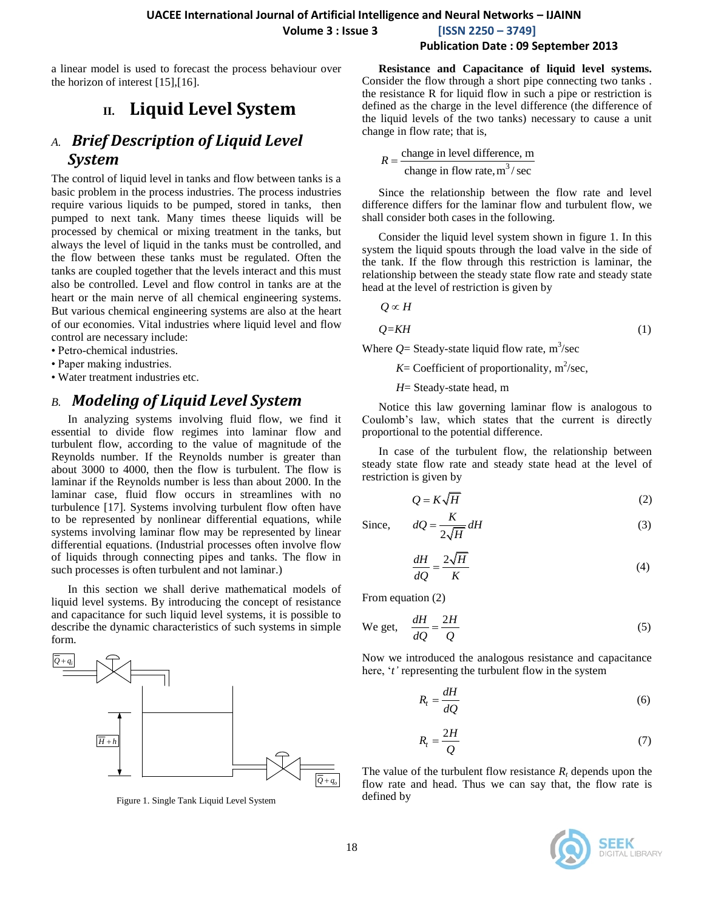**UACEE International Journal of Artificial Intelligence and Neural Networks – IJAINN Volume 3 : Issue 3 [ISSN 2250 – 3749]**

#### a linear model is used to forecast the process behaviour over the horizon of interest [15],[16].

# **II. Liquid Level System**

### *A. Brief Description of Liquid Level System*

The control of liquid level in tanks and flow between tanks is a basic problem in the process industries. The process industries require various liquids to be pumped, stored in tanks, then pumped to next tank. Many times theese liquids will be processed by chemical or mixing treatment in the tanks, but always the level of liquid in the tanks must be controlled, and the flow between these tanks must be regulated. Often the tanks are coupled together that the levels interact and this must also be controlled. Level and flow control in tanks are at the heart or the main nerve of all chemical engineering systems. But various chemical engineering systems are also at the heart of our economies. Vital industries where liquid level and flow control are necessary include:

- Petro-chemical industries.
- Paper making industries.
- Water treatment industries etc.

# *B. Modeling of Liquid Level System*

In analyzing systems involving fluid flow, we find it essential to divide flow regimes into laminar flow and turbulent flow, according to the value of magnitude of the Reynolds number. If the Reynolds number is greater than about 3000 to 4000, then the flow is turbulent. The flow is laminar if the Reynolds number is less than about 2000. In the laminar case, fluid flow occurs in streamlines with no turbulence [17]. Systems involving turbulent flow often have to be represented by nonlinear differential equations, while systems involving laminar flow may be represented by linear differential equations. (Industrial processes often involve flow of liquids through connecting pipes and tanks. The flow in such processes is often turbulent and not laminar.)

In this section we shall derive mathematical models of liquid level systems. By introducing the concept of resistance and capacitance for such liquid level systems, it is possible to form.



Figure 1. Single Tank Liquid Level System

### **Resistance and Capacitance of liquid level systems. Publication Date : 09 September 2013**

Consider the flow through a short pipe connecting two tanks . the resistance R for liquid flow in such a pipe or restriction is defined as the charge in the level difference (the difference of the liquid levels of the two tanks) necessary to cause a unit change in flow rate; that is,

$$
R = \frac{\text{change in level difference, m}}{\text{change in flow rate, m}^3/\text{sec}}
$$

Since the relationship between the flow rate and level difference differs for the laminar flow and turbulent flow, we shall consider both cases in the following.

Consider the liquid level system shown in figure 1. In this system the liquid spouts through the load valve in the side of the tank. If the flow through this restriction is laminar, the relationship between the steady state flow rate and steady state head at the level of restriction is given by

$$
Q \propto H
$$
  
Q=KH (1)

Where  $Q =$  Steady-state liquid flow rate,  $m^3$ /sec

 $K =$  Coefficient of proportionality,  $m^2$ /sec,

*H*= Steady-state head, m

Notice this law governing laminar flow is analogous to Coulomb"s law, which states that the current is directly proportional to the potential difference.

In case of the turbulent flow, the relationship between steady state flow rate and steady state head at the level of restriction is given by

$$
Q = K\sqrt{H} \tag{2}
$$

Since, 
$$
dQ = \frac{K}{2\sqrt{H}}dH
$$
 (3)

$$
\frac{dH}{dQ} = \frac{2\sqrt{H}}{K} \tag{4}
$$

From equation (2)

We get, 
$$
\frac{dH}{dQ} = \frac{2H}{Q}
$$
 (5)

Now we introduced the analogous resistance and capacitance here, 't' representing the turbulent flow in the system

$$
R_t = \frac{dH}{dQ} \tag{6}
$$

$$
R_t = \frac{2H}{Q} \tag{7}
$$

The value of the turbulent flow resistance  $R_t$  depends upon the flow rate and head. Thus we can say that, the flow rate is defined by

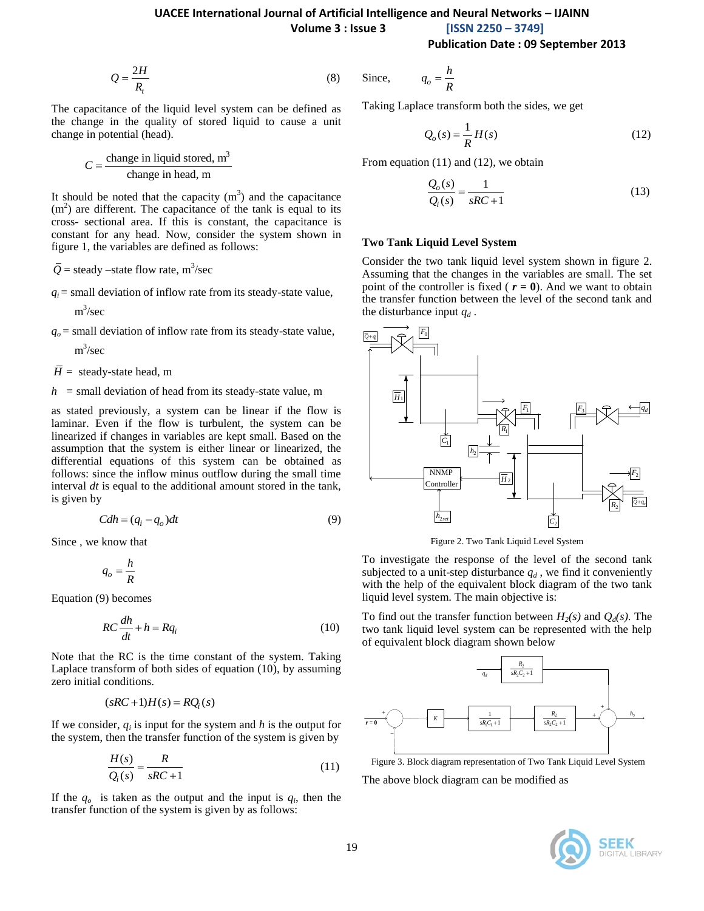#### **UACEE International Journal of Artificial Intelligence and Neural Networks – IJAINN**

**Volume 3 : Issue 3 [ISSN 2250 – 3749]**

**Publication Date : 09 September 2013**

$$
Q = \frac{2H}{R_t} \tag{8}
$$

The capacitance of the liquid level system can be defined as the change in the quality of stored liquid to cause a unit change in potential (head).

$$
C = \frac{\text{change in liquid stored, m}^3}{\text{change in head, m}}
$$

It should be noted that the capacity  $(m<sup>3</sup>)$  and the capacitance  $(m<sup>2</sup>)$  are different. The capacitance of the tank is equal to its cross- sectional area. If this is constant, the capacitance is constant for any head. Now, consider the system shown in figure 1, the variables are defined as follows:

$$
\overline{Q}
$$
 = steady–state flow rate, m<sup>3</sup>/sec

 $q_i$  = small deviation of inflow rate from its steady-state value,

m 3 /sec

 $q<sub>o</sub>$  = small deviation of inflow rate from its steady-state value,

m 3 /sec

 $\overline{H}$  = steady-state head, m

*h =* small deviation of head from its steady-state value, m

as stated previously, a system can be linear if the flow is laminar. Even if the flow is turbulent, the system can be linearized if changes in variables are kept small. Based on the assumption that the system is either linear or linearized, the differential equations of this system can be obtained as follows: since the inflow minus outflow during the small time interval *dt* is equal to the additional amount stored in the tank, is given by

$$
Cdh = (q_i - q_o)dt
$$
\n(9)

Since , we know that

$$
q_o = \frac{h}{R}
$$

Equation (9) becomes

$$
RC\frac{dh}{dt} + h = Rq_i \tag{10}
$$

Note that the RC is the time constant of the system. Taking Laplace transform of both sides of equation (10), by assuming zero initial conditions.

$$
(sRC+1)H(s) = RQ_i(s)
$$

If we consider,  $q_i$  is input for the system and  $h$  is the output for the system, then the transfer function of the system is given by

$$
\frac{H(s)}{Q_i(s)} = \frac{R}{sRC + 1}
$$
\n(11)

If the  $q<sub>o</sub>$  is taken as the output and the input is  $q<sub>i</sub>$ , then the transfer function of the system is given by as follows:

Since, 
$$
q_o = \frac{h}{R}
$$

Taking Laplace transform both the sides, we get

$$
Q_o(s) = \frac{1}{R}H(s)
$$
\n(12)

From equation (11) and (12), we obtain

$$
\frac{Q_o(s)}{Q_i(s)} = \frac{1}{sRC + 1}
$$
\n(13)

#### **Two Tank Liquid Level System**

Consider the two tank liquid level system shown in figure 2. Assuming that the changes in the variables are small. The set point of the controller is fixed ( $r = 0$ ). And we want to obtain the transfer function between the level of the second tank and the disturbance input  $q_d$ .



Figure 2. Two Tank Liquid Level System

To investigate the response of the level of the second tank subjected to a unit-step disturbance  $q_d$ , we find it conveniently with the help of the equivalent block diagram of the two tank liquid level system. The main objective is:

To find out the transfer function between  $H_2(s)$  and  $Q_d(s)$ . The two tank liquid level system can be represented with the help of equivalent block diagram shown below



Figure 3. Block diagram representation of Two Tank Liquid Level System

The above block diagram can be modified as

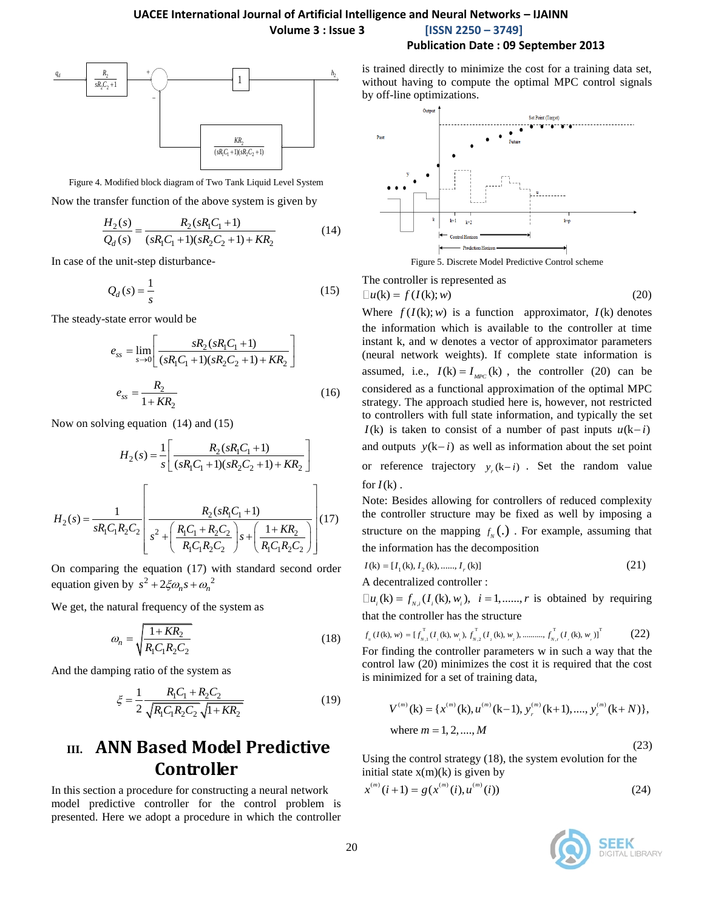



Figure 4. Modified block diagram of Two Tank Liquid Level System Now the transfer function of the above system is given by

$$
\frac{H_2(s)}{Q_d(s)} = \frac{R_2(sR_1C_1+1)}{(sR_1C_1+1)(sR_2C_2+1)+KR_2}
$$
(14)

In case of the unit-step disturbance-

$$
Q_d(s) = \frac{1}{s} \tag{15}
$$

The steady-state error would be

$$
e_{ss} = \lim_{s \to 0} \left[ \frac{sR_2(sR_1C_1 + 1)}{(sR_1C_1 + 1)(sR_2C_2 + 1) + KR_2} \right]
$$

$$
e_{ss} = \frac{R_2}{1 + KR_2} \tag{16}
$$

Now on solving equation (14) and (15)

$$
H_2(s) = \frac{1}{s} \left[ \frac{R_2(sR_1C_1 + 1)}{(sR_1C_1 + 1)(sR_2C_2 + 1) + KR_2} \right]
$$

$$
H_2(s) = \frac{1}{sR_1C_1R_2C_2} \left[ \frac{R_2(sR_1C_1 + 1)}{R_1C_1R_2C_2} \right] s + \left( \frac{1 + KR_2}{R_1C_1R_2C_2} \right) \right] (17)
$$

On comparing the equation (17) with standard second order equation given by  $s^2 + 2\xi \omega_n s + \omega_n^2$ 

We get, the natural frequency of the system as

$$
\omega_n = \sqrt{\frac{1 + KR_2}{R_1 C_1 R_2 C_2}}
$$
\n(18)

And the damping ratio of the system as

$$
\xi = \frac{1}{2} \frac{R_1 C_1 + R_2 C_2}{\sqrt{R_1 C_1 R_2 C_2} \sqrt{1 + K R_2}}
$$
(19)

# **III. ANN Based Model Predictive Controller**

In this section a procedure for constructing a neural network model predictive controller for the control problem is presented. Here we adopt a procedure in which the controller

 $\begin{array}{ccc} \n\frac{q}{2} & | & \rightarrow \bigcirc \\ \n\end{array}$   $\begin{array}{ccc} \n\frac{q}{2} & \text{is trained directly to minimize the cost for a training data set,}\n\end{array}$ without having to compute the optimal MPC control signals



The controller is represented as

$$
\Box u(\mathbf{k}) = f(I(\mathbf{k}); w)
$$
 (20)

Where  $f(I(k); w)$  is a function approximator,  $I(k)$  denotes the information which is available to the controller at time instant k, and w denotes a vector of approximator parameters (neural network weights). If complete state information is assumed, i.e.,  $I(k) = I_{MPC}(k)$ , the controller (20) can be considered as a functional approximation of the optimal MPC strategy. The approach studied here is, however, not restricted to controllers with full state information, and typically the set  $I(k)$  is taken to consist of a number of past inputs  $u(k-i)$ and outputs  $y(k-i)$  as well as information about the set point or reference trajectory  $y_r(k-i)$ . Set the random value for  $I(k)$ .

Note: Besides allowing for controllers of reduced complexity the controller structure may be fixed as well by imposing a structure on the mapping  $f_N(\cdot)$ . For example, assuming that the information has the decomposition

$$
I(\mathbf{k}) = [I_1(\mathbf{k}), I_2(\mathbf{k}), \dots, I_r(\mathbf{k})]
$$
\n(21)

A decentralized controller :

decentralized controller:<br> $u_i$ (k) =  $f_{N,i}(I_i(k), w_i)$ ,  $i = 1, \dots, r$  is obtained by requiring that the controller has the structure

$$
f_{N}(I(k), w) = [f_{N,1}^{T}(I_{1}(k), w_{1}), f_{N,2}^{T}(I_{2}(k), w_{2}), \dots, f_{N,r}^{T}(I_{r}(k), w_{r})]^{T}
$$
(22)

For finding the controller parameters w in such a way that the control law (20) minimizes the cost it is required that the cost is minimized for a set of training data,

$$
V^{(m)}(\mathbf{k}) = \{x^{(m)}(\mathbf{k}), u^{(m)}(\mathbf{k}-1), y_r^{(m)}(\mathbf{k}+1), \dots, y_r^{(m)}(\mathbf{k}+N)\},\
$$
where  $m = 1, 2, \dots, M$  (23)

Using the control strategy (18), the system evolution for the initial state  $x(m)(k)$  is given by

$$
x^{(m)}(i+1) = g(x^{(m)}(i), u^{(m)}(i))
$$
 (24)

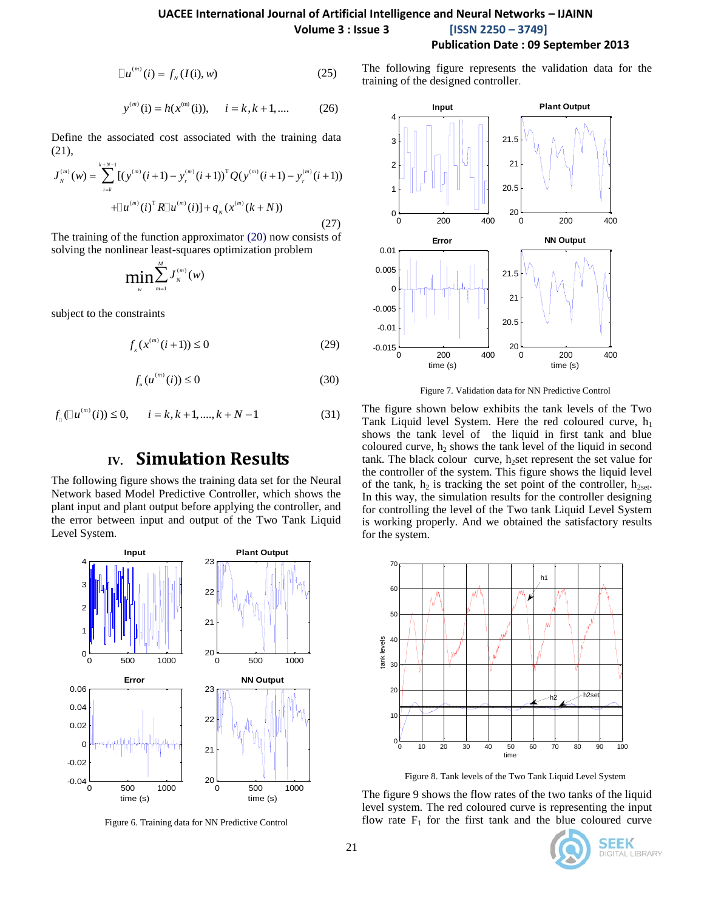#### **UACEE International Journal of Artificial Intelligence and Neural Networks – IJAINN Volume 3 : Issue 3 [ISSN 2250 – 3749] Publication Date : 09 September 2013**

 $u^{(m)}(i) = f_N(I(i), w)$  (25)

$$
y^{(m)}(i) = h(x^{(m)}(i)), \quad i = k, k + 1, ....
$$
 (26)

Define the associated cost associated with the training data (21),

(21),  
\n
$$
J_{N}^{(m)}(w) = \sum_{i=k}^{k+N-1} [(y^{(m)}(i+1) - y_{r}^{(m)}(i+1))^{T} Q (y^{(m)}(i+1) - y_{r}^{(m)}(i+1)) + \Box u^{(m)}(i)^{T} R \Box u^{(m)}(i)] + q_{N} (x^{(m)}(k+N))
$$
\n(27)

The training of the function approximator (20) now consists of solving the nonlinear least-squares optimization problem

$$
\min_{w} \sum_{m=1}^{M} J_{N}^{(m)}(w)
$$

subject to the constraints

$$
f_x(x^{(m)}(i+1)) \le 0
$$
 (29)

$$
f_u(u^{(m)}(i)) \le 0 \tag{30}
$$

$$
f_{\parallel}( \Box u^{(m)}(i)) \le 0, \qquad i = k, k+1, ..., k+N-1
$$
 (31)

# **IV. Simulation Results**

The following figure shows the training data set for the Neural Network based Model Predictive Controller, which shows the plant input and plant output before applying the controller, and the error between input and output of the Two Tank Liquid Level System.



Figure 6. Training data for NN Predictive Control

The following figure represents the validation data for the training of the designed controller.



Figure 7. Validation data for NN Predictive Control

The figure shown below exhibits the tank levels of the Two Tank Liquid level System. Here the red coloured curve,  $h_1$ shows the tank level of the liquid in first tank and blue coloured curve,  $h_2$  shows the tank level of the liquid in second tank. The black colour curve,  $h_2$ set represent the set value for the controller of the system. This figure shows the liquid level of the tank,  $h_2$  is tracking the set point of the controller,  $h_{2set}$ . In this way, the simulation results for the controller designing for controlling the level of the Two tank Liquid Level System is working properly. And we obtained the satisfactory results for the system.



Figure 8. Tank levels of the Two Tank Liquid Level System

The figure 9 shows the flow rates of the two tanks of the liquid level system. The red coloured curve is representing the input flow rate  $F_1$  for the first tank and the blue coloured curve